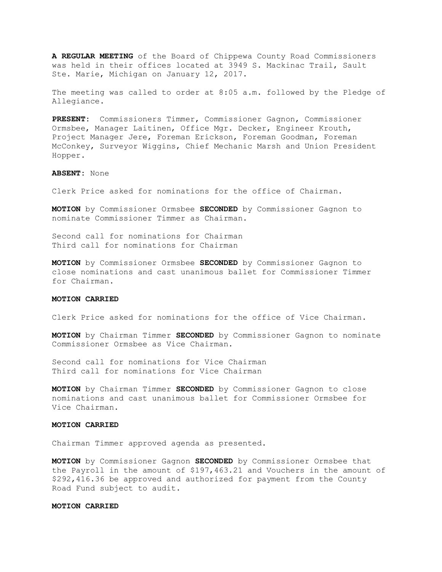**A REGULAR MEETING** of the Board of Chippewa County Road Commissioners was held in their offices located at 3949 S. Mackinac Trail, Sault Ste. Marie, Michigan on January 12, 2017.

The meeting was called to order at 8:05 a.m. followed by the Pledge of Allegiance.

**PRESENT:** Commissioners Timmer, Commissioner Gagnon, Commissioner Ormsbee, Manager Laitinen, Office Mgr. Decker, Engineer Krouth, Project Manager Jere, Foreman Erickson, Foreman Goodman, Foreman McConkey, Surveyor Wiggins, Chief Mechanic Marsh and Union President Hopper.

#### **ABSENT:** None

Clerk Price asked for nominations for the office of Chairman.

**MOTION** by Commissioner Ormsbee **SECONDED** by Commissioner Gagnon to nominate Commissioner Timmer as Chairman.

Second call for nominations for Chairman Third call for nominations for Chairman

**MOTION** by Commissioner Ormsbee **SECONDED** by Commissioner Gagnon to close nominations and cast unanimous ballet for Commissioner Timmer for Chairman.

#### **MOTION CARRIED**

Clerk Price asked for nominations for the office of Vice Chairman.

**MOTION** by Chairman Timmer **SECONDED** by Commissioner Gagnon to nominate Commissioner Ormsbee as Vice Chairman.

Second call for nominations for Vice Chairman Third call for nominations for Vice Chairman

**MOTION** by Chairman Timmer **SECONDED** by Commissioner Gagnon to close nominations and cast unanimous ballet for Commissioner Ormsbee for Vice Chairman.

## **MOTION CARRIED**

Chairman Timmer approved agenda as presented.

**MOTION** by Commissioner Gagnon **SECONDED** by Commissioner Ormsbee that the Payroll in the amount of \$197,463.21 and Vouchers in the amount of \$292,416.36 be approved and authorized for payment from the County Road Fund subject to audit.

#### **MOTION CARRIED**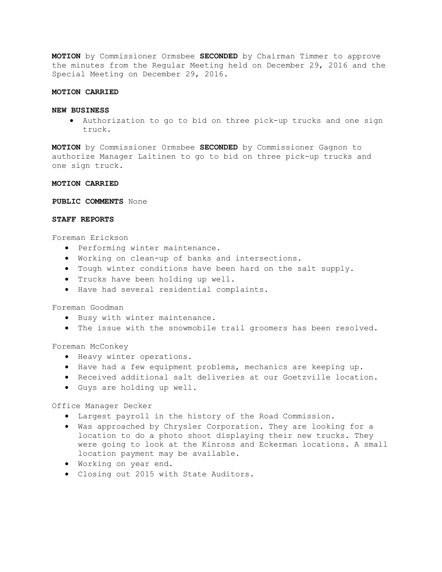**MOTION** by Commissioner Ormsbee **SECONDED** by Chairman Timmer to approve the minutes from the Regular Meeting held on December 29, 2016 and the Special Meeting on December 29, 2016.

#### **MOTION CARRIED**

#### **NEW BUSINESS**

· Authorization to go to bid on three pick-up trucks and one sign truck.

**MOTION** by Commissioner Ormsbee **SECONDED** by Commissioner Gagnon to authorize Manager Laitinen to go to bid on three pick-up trucks and one sign truck.

## **MOTION CARRIED**

**PUBLIC COMMENTS** None

# **STAFF REPORTS**

Foreman Erickson

- · Performing winter maintenance.
- · Working on clean-up of banks and intersections.
- · Tough winter conditions have been hard on the salt supply.
- · Trucks have been holding up well.
- · Have had several residential complaints.

# Foreman Goodman

- · Busy with winter maintenance.
- · The issue with the snowmobile trail groomers has been resolved.

Foreman McConkey

- · Heavy winter operations.
- · Have had a few equipment problems, mechanics are keeping up.
- · Received additional salt deliveries at our Goetzville location.
- · Guys are holding up well.

Office Manager Decker

- · Largest payroll in the history of the Road Commission.
- · Was approached by Chrysler Corporation. They are looking for a location to do a photo shoot displaying their new trucks. They were going to look at the Kinross and Eckerman locations. A small location payment may be available.
- · Working on year end.
- · Closing out 2015 with State Auditors.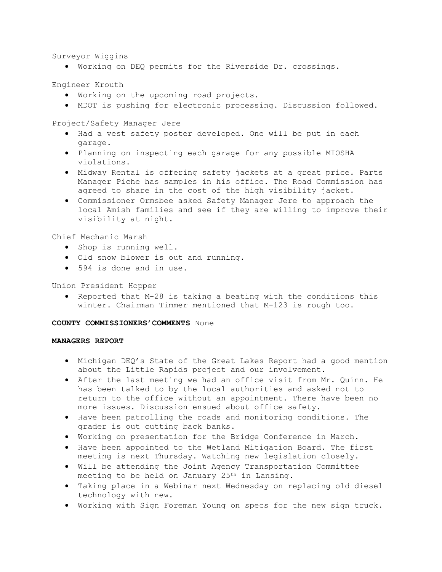Surveyor Wiggins

· Working on DEQ permits for the Riverside Dr. crossings.

Engineer Krouth

- · Working on the upcoming road projects.
- · MDOT is pushing for electronic processing. Discussion followed.

Project/Safety Manager Jere

- · Had a vest safety poster developed. One will be put in each garage.
- · Planning on inspecting each garage for any possible MIOSHA violations.
- · Midway Rental is offering safety jackets at a great price. Parts Manager Piche has samples in his office. The Road Commission has agreed to share in the cost of the high visibility jacket.
- · Commissioner Ormsbee asked Safety Manager Jere to approach the local Amish families and see if they are willing to improve their visibility at night.

Chief Mechanic Marsh

- · Shop is running well.
- · Old snow blower is out and running.
- · 594 is done and in use.

# Union President Hopper

· Reported that M-28 is taking a beating with the conditions this winter. Chairman Timmer mentioned that M-123 is rough too.

# **COUNTY COMMISSIONERS'COMMENTS** None

## **MANAGERS REPORT**

- · Michigan DEQ's State of the Great Lakes Report had a good mention about the Little Rapids project and our involvement.
- · After the last meeting we had an office visit from Mr. Quinn. He has been talked to by the local authorities and asked not to return to the office without an appointment. There have been no more issues. Discussion ensued about office safety.
- · Have been patrolling the roads and monitoring conditions. The grader is out cutting back banks.
- · Working on presentation for the Bridge Conference in March.
- · Have been appointed to the Wetland Mitigation Board. The first meeting is next Thursday. Watching new legislation closely.
- · Will be attending the Joint Agency Transportation Committee meeting to be held on January 25th in Lansing.
- · Taking place in a Webinar next Wednesday on replacing old diesel technology with new.
- · Working with Sign Foreman Young on specs for the new sign truck.